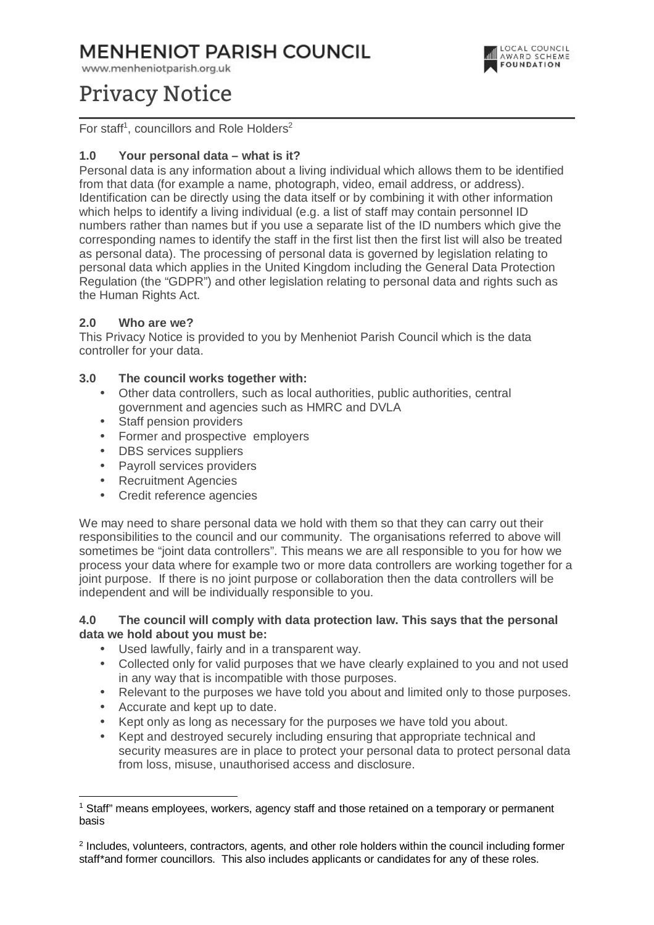# **MENHENIOT PARISH COUNCIL**

www.menheniotparish.org.uk

# Privacy Notice

For staff<sup>1</sup>, councillors and Role Holders<sup>2</sup>

# **1.0 Your personal data – what is it?**

Personal data is any information about a living individual which allows them to be identified from that data (for example a name, photograph, video, email address, or address). Identification can be directly using the data itself or by combining it with other information which helps to identify a living individual (e.g. a list of staff may contain personnel ID numbers rather than names but if you use a separate list of the ID numbers which give the corresponding names to identify the staff in the first list then the first list will also be treated as personal data). The processing of personal data is governed by legislation relating to personal data which applies in the United Kingdom including the General Data Protection Regulation (the "GDPR") and other legislation relating to personal data and rights such as the Human Rights Act.

## **2.0 Who are we?**

This Privacy Notice is provided to you by Menheniot Parish Council which is the data controller for your data.

## **3.0 The council works together with:**

- Other data controllers, such as local authorities, public authorities, central government and agencies such as HMRC and DVLA
- Staff pension providers
- Former and prospective employers
- DBS services suppliers
- Payroll services providers
- Recruitment Agencies
- Credit reference agencies

We may need to share personal data we hold with them so that they can carry out their responsibilities to the council and our community. The organisations referred to above will sometimes be "joint data controllers". This means we are all responsible to you for how we process your data where for example two or more data controllers are working together for a joint purpose. If there is no joint purpose or collaboration then the data controllers will be independent and will be individually responsible to you.

#### **4.0 The council will comply with data protection law. This says that the personal data we hold about you must be:**

- Used lawfully, fairly and in a transparent way.
- Collected only for valid purposes that we have clearly explained to you and not used in any way that is incompatible with those purposes.
- Relevant to the purposes we have told you about and limited only to those purposes.
- Accurate and kept up to date.
- Kept only as long as necessary for the purposes we have told you about.
- Kept and destroyed securely including ensuring that appropriate technical and security measures are in place to protect your personal data to protect personal data from loss, misuse, unauthorised access and disclosure.

 $\overline{a}$ <sup>1</sup> Staff" means employees, workers, agency staff and those retained on a temporary or permanent basis

<sup>&</sup>lt;sup>2</sup> Includes, volunteers, contractors, agents, and other role holders within the council including former staff\*and former councillors. This also includes applicants or candidates for any of these roles.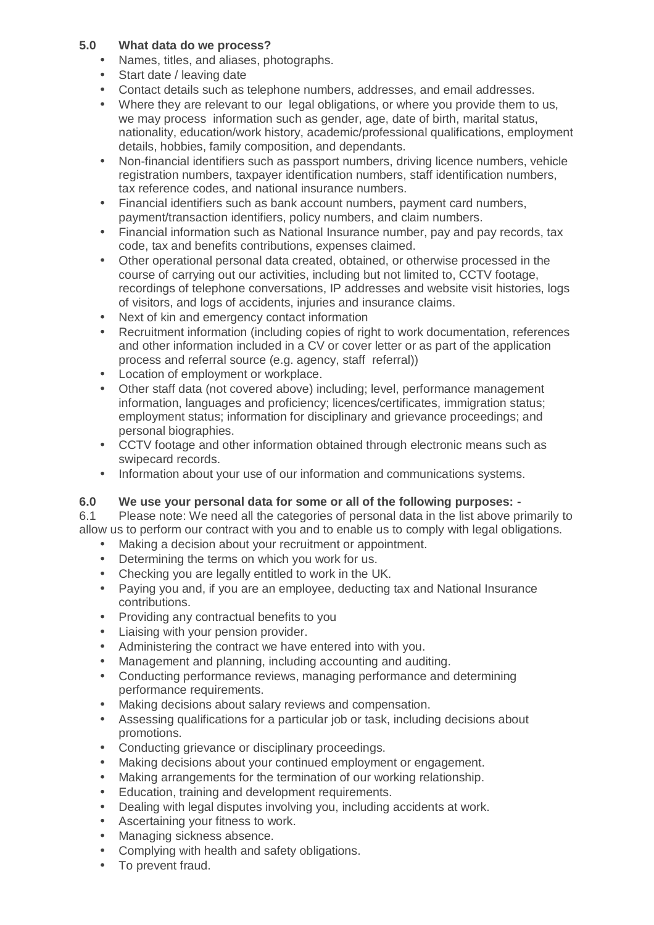# **5.0 What data do we process?**

- Names, titles, and aliases, photographs.
- Start date / leaving date
- Contact details such as telephone numbers, addresses, and email addresses.
- Where they are relevant to our legal obligations, or where you provide them to us, we may process information such as gender, age, date of birth, marital status, nationality, education/work history, academic/professional qualifications, employment details, hobbies, family composition, and dependants.
- Non-financial identifiers such as passport numbers, driving licence numbers, vehicle registration numbers, taxpayer identification numbers, staff identification numbers, tax reference codes, and national insurance numbers.
- Financial identifiers such as bank account numbers, payment card numbers, payment/transaction identifiers, policy numbers, and claim numbers.
- Financial information such as National Insurance number, pay and pay records, tax code, tax and benefits contributions, expenses claimed.
- Other operational personal data created, obtained, or otherwise processed in the course of carrying out our activities, including but not limited to, CCTV footage, recordings of telephone conversations, IP addresses and website visit histories, logs of visitors, and logs of accidents, injuries and insurance claims.
- Next of kin and emergency contact information
- Recruitment information (including copies of right to work documentation, references and other information included in a CV or cover letter or as part of the application process and referral source (e.g. agency, staff referral))
- Location of employment or workplace.
- Other staff data (not covered above) including; level, performance management information, languages and proficiency; licences/certificates, immigration status; employment status; information for disciplinary and grievance proceedings; and personal biographies.
- CCTV footage and other information obtained through electronic means such as swipecard records.
- Information about your use of our information and communications systems.

## **6.0 We use your personal data for some or all of the following purposes: -**

6.1 Please note: We need all the categories of personal data in the list above primarily to allow us to perform our contract with you and to enable us to comply with legal obligations.

- Making a decision about your recruitment or appointment.
- Determining the terms on which you work for us.
- Checking you are legally entitled to work in the UK.
- Paying you and, if you are an employee, deducting tax and National Insurance contributions.
- Providing any contractual benefits to you
- Liaising with your pension provider.
- Administering the contract we have entered into with you.
- Management and planning, including accounting and auditing.
- Conducting performance reviews, managing performance and determining performance requirements.
- Making decisions about salary reviews and compensation.
- Assessing qualifications for a particular job or task, including decisions about promotions.
- Conducting grievance or disciplinary proceedings.
- Making decisions about your continued employment or engagement.
- Making arrangements for the termination of our working relationship.
- Education, training and development requirements.
- Dealing with legal disputes involving you, including accidents at work.
- Ascertaining your fitness to work.
- Managing sickness absence.
- Complying with health and safety obligations.
- To prevent fraud.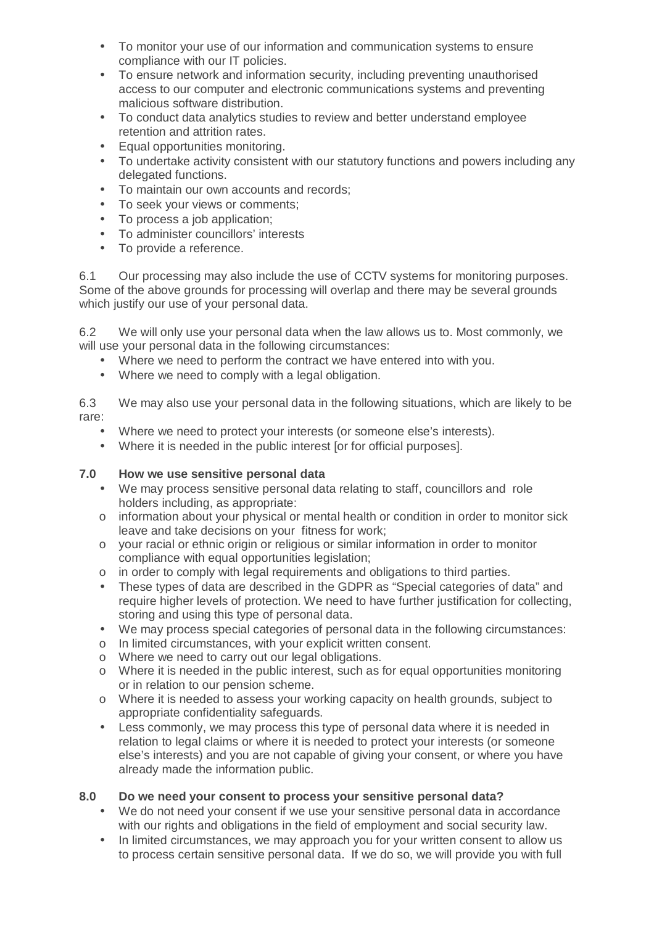- To monitor your use of our information and communication systems to ensure compliance with our IT policies.
- To ensure network and information security, including preventing unauthorised access to our computer and electronic communications systems and preventing malicious software distribution.
- To conduct data analytics studies to review and better understand employee retention and attrition rates.
- Equal opportunities monitoring.
- To undertake activity consistent with our statutory functions and powers including any delegated functions.
- To maintain our own accounts and records:
- To seek your views or comments;
- To process a job application;
- To administer councillors' interests
- To provide a reference.

6.1 Our processing may also include the use of CCTV systems for monitoring purposes. Some of the above grounds for processing will overlap and there may be several grounds which justify our use of your personal data.

6.2 We will only use your personal data when the law allows us to. Most commonly, we will use your personal data in the following circumstances:

- Where we need to perform the contract we have entered into with you.
- Where we need to comply with a legal obligation.

6.3 We may also use your personal data in the following situations, which are likely to be rare:

- Where we need to protect your interests (or someone else's interests).
- Where it is needed in the public interest [or for official purposes].

## **7.0 How we use sensitive personal data**

- We may process sensitive personal data relating to staff, councillors and role holders including, as appropriate:
- o information about your physical or mental health or condition in order to monitor sick leave and take decisions on your fitness for work;
- o your racial or ethnic origin or religious or similar information in order to monitor compliance with equal opportunities legislation;
- o in order to comply with legal requirements and obligations to third parties.
- These types of data are described in the GDPR as "Special categories of data" and require higher levels of protection. We need to have further justification for collecting, storing and using this type of personal data.
- We may process special categories of personal data in the following circumstances:
- o In limited circumstances, with your explicit written consent.
- o Where we need to carry out our legal obligations.
- o Where it is needed in the public interest, such as for equal opportunities monitoring or in relation to our pension scheme.
- o Where it is needed to assess your working capacity on health grounds, subject to appropriate confidentiality safeguards.
- Less commonly, we may process this type of personal data where it is needed in relation to legal claims or where it is needed to protect your interests (or someone else's interests) and you are not capable of giving your consent, or where you have already made the information public.

## **8.0 Do we need your consent to process your sensitive personal data?**

- We do not need your consent if we use your sensitive personal data in accordance with our rights and obligations in the field of employment and social security law.
- In limited circumstances, we may approach you for your written consent to allow us to process certain sensitive personal data. If we do so, we will provide you with full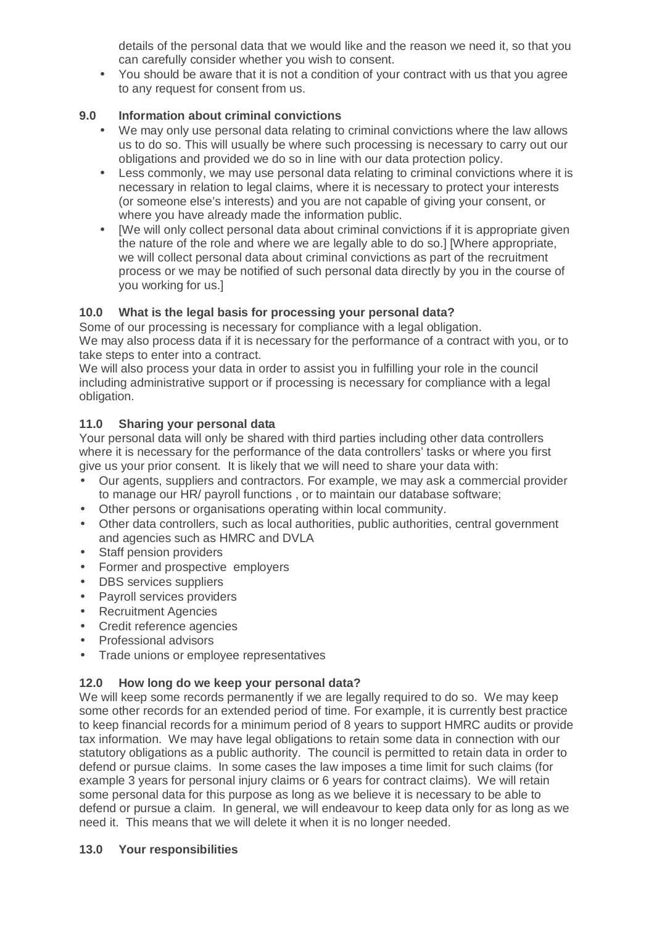details of the personal data that we would like and the reason we need it, so that you can carefully consider whether you wish to consent.

• You should be aware that it is not a condition of your contract with us that you agree to any request for consent from us.

## **9.0 Information about criminal convictions**

- We may only use personal data relating to criminal convictions where the law allows us to do so. This will usually be where such processing is necessary to carry out our obligations and provided we do so in line with our data protection policy.
- Less commonly, we may use personal data relating to criminal convictions where it is necessary in relation to legal claims, where it is necessary to protect your interests (or someone else's interests) and you are not capable of giving your consent, or where you have already made the information public.
- [We will only collect personal data about criminal convictions if it is appropriate given the nature of the role and where we are legally able to do so.] [Where appropriate, we will collect personal data about criminal convictions as part of the recruitment process or we may be notified of such personal data directly by you in the course of you working for us.]

## **10.0 What is the legal basis for processing your personal data?**

Some of our processing is necessary for compliance with a legal obligation. We may also process data if it is necessary for the performance of a contract with you, or to take steps to enter into a contract.

We will also process your data in order to assist you in fulfilling your role in the council including administrative support or if processing is necessary for compliance with a legal obligation.

## **11.0 Sharing your personal data**

Your personal data will only be shared with third parties including other data controllers where it is necessary for the performance of the data controllers' tasks or where you first give us your prior consent. It is likely that we will need to share your data with:

- Our agents, suppliers and contractors. For example, we may ask a commercial provider to manage our HR/ payroll functions , or to maintain our database software;
- Other persons or organisations operating within local community.
- Other data controllers, such as local authorities, public authorities, central government and agencies such as HMRC and DVLA
- Staff pension providers
- Former and prospective employers
- DBS services suppliers
- Payroll services providers
- Recruitment Agencies
- Credit reference agencies
- Professional advisors
- Trade unions or employee representatives

# **12.0 How long do we keep your personal data?**

We will keep some records permanently if we are legally required to do so. We may keep some other records for an extended period of time. For example, it is currently best practice to keep financial records for a minimum period of 8 years to support HMRC audits or provide tax information. We may have legal obligations to retain some data in connection with our statutory obligations as a public authority. The council is permitted to retain data in order to defend or pursue claims. In some cases the law imposes a time limit for such claims (for example 3 years for personal injury claims or 6 years for contract claims). We will retain some personal data for this purpose as long as we believe it is necessary to be able to defend or pursue a claim. In general, we will endeavour to keep data only for as long as we need it. This means that we will delete it when it is no longer needed.

## **13.0 Your responsibilities**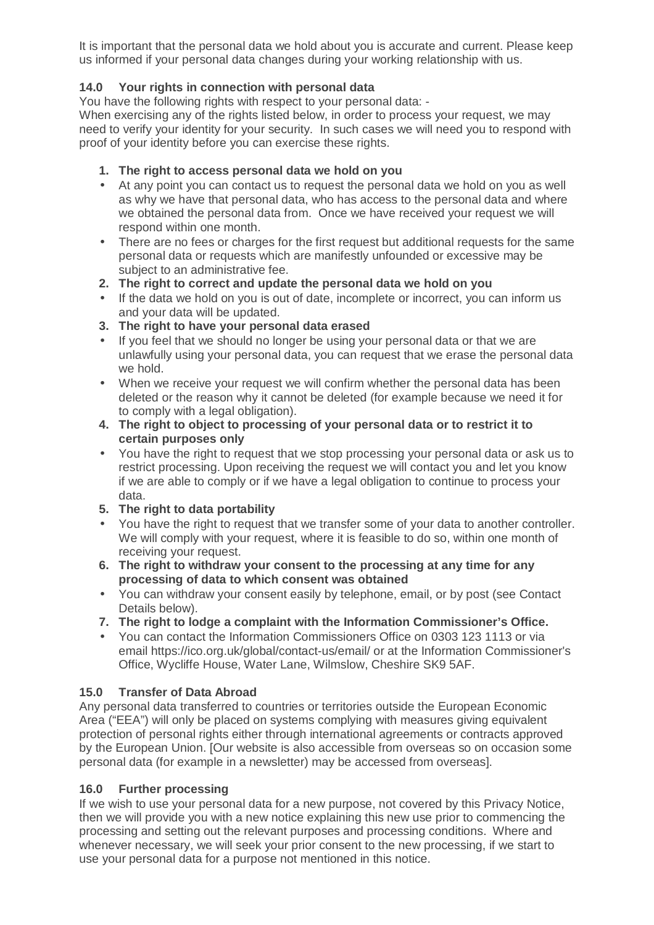It is important that the personal data we hold about you is accurate and current. Please keep us informed if your personal data changes during your working relationship with us.

# **14.0 Your rights in connection with personal data**

You have the following rights with respect to your personal data: -

When exercising any of the rights listed below, in order to process your request, we may need to verify your identity for your security. In such cases we will need you to respond with proof of your identity before you can exercise these rights.

# **1. The right to access personal data we hold on you**

- At any point you can contact us to request the personal data we hold on you as well as why we have that personal data, who has access to the personal data and where we obtained the personal data from. Once we have received your request we will respond within one month.
- There are no fees or charges for the first request but additional requests for the same personal data or requests which are manifestly unfounded or excessive may be subject to an administrative fee.
- **2. The right to correct and update the personal data we hold on you**
- If the data we hold on you is out of date, incomplete or incorrect, you can inform us and your data will be updated.
- **3. The right to have your personal data erased**
- If you feel that we should no longer be using your personal data or that we are unlawfully using your personal data, you can request that we erase the personal data we hold.
- When we receive your request we will confirm whether the personal data has been deleted or the reason why it cannot be deleted (for example because we need it for to comply with a legal obligation).
- **4. The right to object to processing of your personal data or to restrict it to certain purposes only**
- You have the right to request that we stop processing your personal data or ask us to restrict processing. Upon receiving the request we will contact you and let you know if we are able to comply or if we have a legal obligation to continue to process your data.
- **5. The right to data portability**
- You have the right to request that we transfer some of your data to another controller. We will comply with your request, where it is feasible to do so, within one month of receiving your request.
- **6. The right to withdraw your consent to the processing at any time for any processing of data to which consent was obtained**
- You can withdraw your consent easily by telephone, email, or by post (see Contact Details below).
- **7. The right to lodge a complaint with the Information Commissioner's Office.**
- You can contact the Information Commissioners Office on 0303 123 1113 or via email https://ico.org.uk/global/contact-us/email/ or at the Information Commissioner's Office, Wycliffe House, Water Lane, Wilmslow, Cheshire SK9 5AF.

# **15.0 Transfer of Data Abroad**

Any personal data transferred to countries or territories outside the European Economic Area ("EEA") will only be placed on systems complying with measures giving equivalent protection of personal rights either through international agreements or contracts approved by the European Union. [Our website is also accessible from overseas so on occasion some personal data (for example in a newsletter) may be accessed from overseas].

## **16.0 Further processing**

If we wish to use your personal data for a new purpose, not covered by this Privacy Notice, then we will provide you with a new notice explaining this new use prior to commencing the processing and setting out the relevant purposes and processing conditions. Where and whenever necessary, we will seek your prior consent to the new processing, if we start to use your personal data for a purpose not mentioned in this notice.